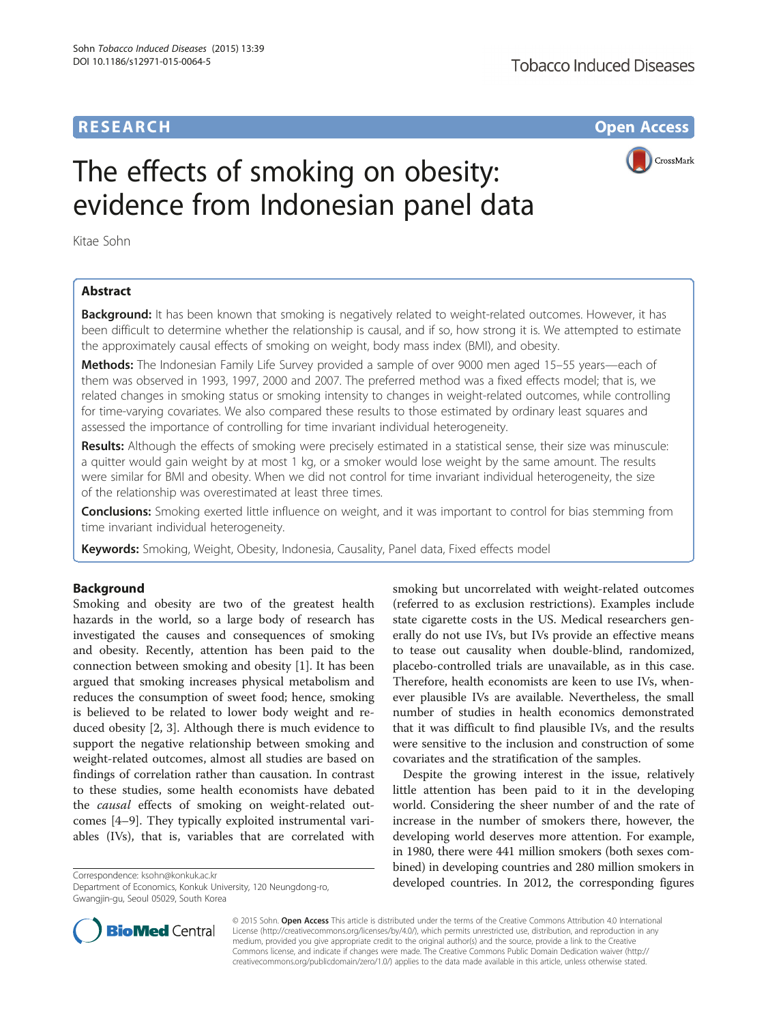# **RESEARCH RESEARCH** *CHECK CHECK CHECK CHECK CHECK CHECK CHECK CHECK CHECK CHECK CHECK CHECK CHECK CHECK CHECK CHECK CHECK CHECK CHECK CHECK CHECK CHECK CHECK CHECK CHECK CHECK CHECK CHECK CHECK CHECK CHECK CHECK CHECK*

CrossMark

# The effects of smoking on obesity: evidence from Indonesian panel data

Kitae Sohn

## Abstract

Background: It has been known that smoking is negatively related to weight-related outcomes. However, it has been difficult to determine whether the relationship is causal, and if so, how strong it is. We attempted to estimate the approximately causal effects of smoking on weight, body mass index (BMI), and obesity.

Methods: The Indonesian Family Life Survey provided a sample of over 9000 men aged 15–55 years—each of them was observed in 1993, 1997, 2000 and 2007. The preferred method was a fixed effects model; that is, we related changes in smoking status or smoking intensity to changes in weight-related outcomes, while controlling for time-varying covariates. We also compared these results to those estimated by ordinary least squares and assessed the importance of controlling for time invariant individual heterogeneity.

Results: Although the effects of smoking were precisely estimated in a statistical sense, their size was minuscule: a quitter would gain weight by at most 1 kg, or a smoker would lose weight by the same amount. The results were similar for BMI and obesity. When we did not control for time invariant individual heterogeneity, the size of the relationship was overestimated at least three times.

**Conclusions:** Smoking exerted little influence on weight, and it was important to control for bias stemming from time invariant individual heterogeneity.

Keywords: Smoking, Weight, Obesity, Indonesia, Causality, Panel data, Fixed effects model

## Background

Smoking and obesity are two of the greatest health hazards in the world, so a large body of research has investigated the causes and consequences of smoking and obesity. Recently, attention has been paid to the connection between smoking and obesity [\[1\]](#page-7-0). It has been argued that smoking increases physical metabolism and reduces the consumption of sweet food; hence, smoking is believed to be related to lower body weight and reduced obesity [\[2](#page-7-0), [3](#page-7-0)]. Although there is much evidence to support the negative relationship between smoking and weight-related outcomes, almost all studies are based on findings of correlation rather than causation. In contrast to these studies, some health economists have debated the causal effects of smoking on weight-related outcomes [\[4](#page-7-0)–[9](#page-7-0)]. They typically exploited instrumental variables (IVs), that is, variables that are correlated with

Department of Economics, Konkuk University, 120 Neungdong-ro, Gwangjin-gu, Seoul 05029, South Korea

smoking but uncorrelated with weight-related outcomes (referred to as exclusion restrictions). Examples include state cigarette costs in the US. Medical researchers generally do not use IVs, but IVs provide an effective means to tease out causality when double-blind, randomized, placebo-controlled trials are unavailable, as in this case. Therefore, health economists are keen to use IVs, whenever plausible IVs are available. Nevertheless, the small number of studies in health economics demonstrated that it was difficult to find plausible IVs, and the results were sensitive to the inclusion and construction of some covariates and the stratification of the samples.

Despite the growing interest in the issue, relatively little attention has been paid to it in the developing world. Considering the sheer number of and the rate of increase in the number of smokers there, however, the developing world deserves more attention. For example, in 1980, there were 441 million smokers (both sexes combined) in developing countries and 280 million smokers in Correspondence: [ksohn@konkuk.ac.kr](mailto:ksohn@konkuk.ac.kr)<br>Department of Economics Konkuk University 120 Neunodong-ro **developed countries. In 2012, the corresponding figures** 



© 2015 Sohn. Open Access This article is distributed under the terms of the Creative Commons Attribution 4.0 International License ([http://creativecommons.org/licenses/by/4.0/\)](http://creativecommons.org/licenses/by/4.0/), which permits unrestricted use, distribution, and reproduction in any medium, provided you give appropriate credit to the original author(s) and the source, provide a link to the Creative Commons license, and indicate if changes were made. The Creative Commons Public Domain Dedication waiver ([http://](http://creativecommons.org/publicdomain/zero/1.0/) [creativecommons.org/publicdomain/zero/1.0/\)](http://creativecommons.org/publicdomain/zero/1.0/) applies to the data made available in this article, unless otherwise stated.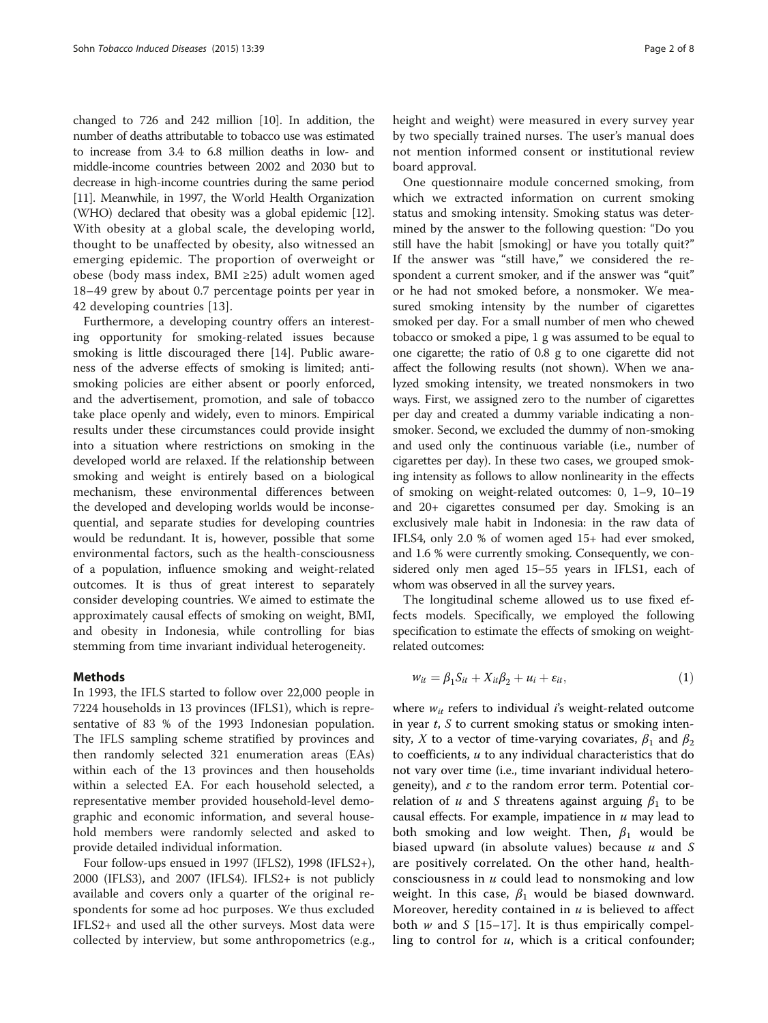changed to 726 and 242 million [\[10\]](#page-7-0). In addition, the number of deaths attributable to tobacco use was estimated to increase from 3.4 to 6.8 million deaths in low- and middle-income countries between 2002 and 2030 but to decrease in high-income countries during the same period [[11](#page-7-0)]. Meanwhile, in 1997, the World Health Organization (WHO) declared that obesity was a global epidemic [\[12](#page-7-0)]. With obesity at a global scale, the developing world, thought to be unaffected by obesity, also witnessed an emerging epidemic. The proportion of overweight or obese (body mass index, BMI ≥25) adult women aged 18–49 grew by about 0.7 percentage points per year in 42 developing countries [[13\]](#page-7-0).

Furthermore, a developing country offers an interesting opportunity for smoking-related issues because smoking is little discouraged there [\[14\]](#page-7-0). Public awareness of the adverse effects of smoking is limited; antismoking policies are either absent or poorly enforced, and the advertisement, promotion, and sale of tobacco take place openly and widely, even to minors. Empirical results under these circumstances could provide insight into a situation where restrictions on smoking in the developed world are relaxed. If the relationship between smoking and weight is entirely based on a biological mechanism, these environmental differences between the developed and developing worlds would be inconsequential, and separate studies for developing countries would be redundant. It is, however, possible that some environmental factors, such as the health-consciousness of a population, influence smoking and weight-related outcomes. It is thus of great interest to separately consider developing countries. We aimed to estimate the approximately causal effects of smoking on weight, BMI, and obesity in Indonesia, while controlling for bias stemming from time invariant individual heterogeneity.

#### Methods

In 1993, the IFLS started to follow over 22,000 people in 7224 households in 13 provinces (IFLS1), which is representative of 83 % of the 1993 Indonesian population. The IFLS sampling scheme stratified by provinces and then randomly selected 321 enumeration areas (EAs) within each of the 13 provinces and then households within a selected EA. For each household selected, a representative member provided household-level demographic and economic information, and several household members were randomly selected and asked to provide detailed individual information.

Four follow-ups ensued in 1997 (IFLS2), 1998 (IFLS2+), 2000 (IFLS3), and 2007 (IFLS4). IFLS2+ is not publicly available and covers only a quarter of the original respondents for some ad hoc purposes. We thus excluded IFLS2+ and used all the other surveys. Most data were collected by interview, but some anthropometrics (e.g., height and weight) were measured in every survey year by two specially trained nurses. The user's manual does not mention informed consent or institutional review board approval.

One questionnaire module concerned smoking, from which we extracted information on current smoking status and smoking intensity. Smoking status was determined by the answer to the following question: "Do you still have the habit [smoking] or have you totally quit?" If the answer was "still have," we considered the respondent a current smoker, and if the answer was "quit" or he had not smoked before, a nonsmoker. We measured smoking intensity by the number of cigarettes smoked per day. For a small number of men who chewed tobacco or smoked a pipe, 1 g was assumed to be equal to one cigarette; the ratio of 0.8 g to one cigarette did not affect the following results (not shown). When we analyzed smoking intensity, we treated nonsmokers in two ways. First, we assigned zero to the number of cigarettes per day and created a dummy variable indicating a nonsmoker. Second, we excluded the dummy of non-smoking and used only the continuous variable (i.e., number of cigarettes per day). In these two cases, we grouped smoking intensity as follows to allow nonlinearity in the effects of smoking on weight-related outcomes: 0, 1–9, 10–19 and 20+ cigarettes consumed per day. Smoking is an exclusively male habit in Indonesia: in the raw data of IFLS4, only 2.0 % of women aged 15+ had ever smoked, and 1.6 % were currently smoking. Consequently, we considered only men aged 15–55 years in IFLS1, each of whom was observed in all the survey years.

The longitudinal scheme allowed us to use fixed effects models. Specifically, we employed the following specification to estimate the effects of smoking on weightrelated outcomes:

$$
w_{it} = \beta_1 S_{it} + X_{it} \beta_2 + u_i + \varepsilon_{it}, \qquad (1)
$$

where  $w_{it}$  refers to individual *i*'s weight-related outcome in year  $t$ ,  $S$  to current smoking status or smoking intensity, X to a vector of time-varying covariates,  $\beta_1$  and  $\beta_2$ to coefficients,  $u$  to any individual characteristics that do not vary over time (i.e., time invariant individual heterogeneity), and  $\varepsilon$  to the random error term. Potential correlation of  $u$  and S threatens against arguing  $\beta_1$  to be causal effects. For example, impatience in  $u$  may lead to both smoking and low weight. Then,  $\beta_1$  would be biased upward (in absolute values) because  $u$  and S are positively correlated. On the other hand, healthconsciousness in  $u$  could lead to nonsmoking and low weight. In this case,  $\beta_1$  would be biased downward. Moreover, heredity contained in  $u$  is believed to affect both  $w$  and S [[15](#page-7-0)–[17](#page-7-0)]. It is thus empirically compelling to control for  $u$ , which is a critical confounder;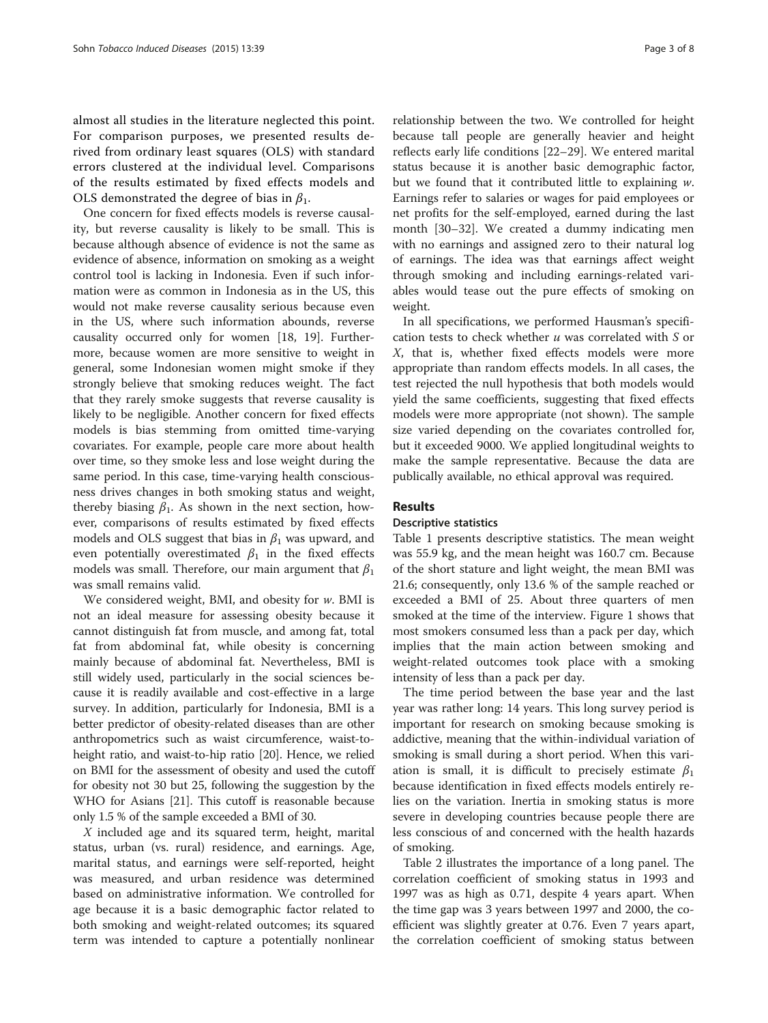almost all studies in the literature neglected this point. For comparison purposes, we presented results derived from ordinary least squares (OLS) with standard errors clustered at the individual level. Comparisons of the results estimated by fixed effects models and OLS demonstrated the degree of bias in  $\beta_1$ .

One concern for fixed effects models is reverse causality, but reverse causality is likely to be small. This is because although absence of evidence is not the same as evidence of absence, information on smoking as a weight control tool is lacking in Indonesia. Even if such information were as common in Indonesia as in the US, this would not make reverse causality serious because even in the US, where such information abounds, reverse causality occurred only for women [\[18](#page-7-0), [19\]](#page-7-0). Furthermore, because women are more sensitive to weight in general, some Indonesian women might smoke if they strongly believe that smoking reduces weight. The fact that they rarely smoke suggests that reverse causality is likely to be negligible. Another concern for fixed effects models is bias stemming from omitted time-varying covariates. For example, people care more about health over time, so they smoke less and lose weight during the same period. In this case, time-varying health consciousness drives changes in both smoking status and weight, thereby biasing  $\beta_1$ . As shown in the next section, however, comparisons of results estimated by fixed effects models and OLS suggest that bias in  $\beta_1$  was upward, and even potentially overestimated  $\beta_1$  in the fixed effects models was small. Therefore, our main argument that  $\beta_1$ was small remains valid.

We considered weight, BMI, and obesity for w. BMI is not an ideal measure for assessing obesity because it cannot distinguish fat from muscle, and among fat, total fat from abdominal fat, while obesity is concerning mainly because of abdominal fat. Nevertheless, BMI is still widely used, particularly in the social sciences because it is readily available and cost-effective in a large survey. In addition, particularly for Indonesia, BMI is a better predictor of obesity-related diseases than are other anthropometrics such as waist circumference, waist-toheight ratio, and waist-to-hip ratio [\[20\]](#page-7-0). Hence, we relied on BMI for the assessment of obesity and used the cutoff for obesity not 30 but 25, following the suggestion by the WHO for Asians [[21](#page-7-0)]. This cutoff is reasonable because only 1.5 % of the sample exceeded a BMI of 30.

 $X$  included age and its squared term, height, marital status, urban (vs. rural) residence, and earnings. Age, marital status, and earnings were self-reported, height was measured, and urban residence was determined based on administrative information. We controlled for age because it is a basic demographic factor related to both smoking and weight-related outcomes; its squared term was intended to capture a potentially nonlinear

relationship between the two. We controlled for height because tall people are generally heavier and height reflects early life conditions [\[22](#page-7-0)–[29\]](#page-7-0). We entered marital status because it is another basic demographic factor, but we found that it contributed little to explaining w. Earnings refer to salaries or wages for paid employees or net profits for the self-employed, earned during the last month [\[30](#page-7-0)–[32\]](#page-7-0). We created a dummy indicating men with no earnings and assigned zero to their natural log of earnings. The idea was that earnings affect weight through smoking and including earnings-related variables would tease out the pure effects of smoking on weight.

In all specifications, we performed Hausman's specification tests to check whether  $u$  was correlated with  $S$  or X, that is, whether fixed effects models were more appropriate than random effects models. In all cases, the test rejected the null hypothesis that both models would yield the same coefficients, suggesting that fixed effects models were more appropriate (not shown). The sample size varied depending on the covariates controlled for, but it exceeded 9000. We applied longitudinal weights to make the sample representative. Because the data are publically available, no ethical approval was required.

## Results

## Descriptive statistics

Table [1](#page-3-0) presents descriptive statistics. The mean weight was 55.9 kg, and the mean height was 160.7 cm. Because of the short stature and light weight, the mean BMI was 21.6; consequently, only 13.6 % of the sample reached or exceeded a BMI of 25. About three quarters of men smoked at the time of the interview. Figure [1](#page-3-0) shows that most smokers consumed less than a pack per day, which implies that the main action between smoking and weight-related outcomes took place with a smoking intensity of less than a pack per day.

The time period between the base year and the last year was rather long: 14 years. This long survey period is important for research on smoking because smoking is addictive, meaning that the within-individual variation of smoking is small during a short period. When this variation is small, it is difficult to precisely estimate  $\beta_1$ because identification in fixed effects models entirely relies on the variation. Inertia in smoking status is more severe in developing countries because people there are less conscious of and concerned with the health hazards of smoking.

Table [2](#page-4-0) illustrates the importance of a long panel. The correlation coefficient of smoking status in 1993 and 1997 was as high as 0.71, despite 4 years apart. When the time gap was 3 years between 1997 and 2000, the coefficient was slightly greater at 0.76. Even 7 years apart, the correlation coefficient of smoking status between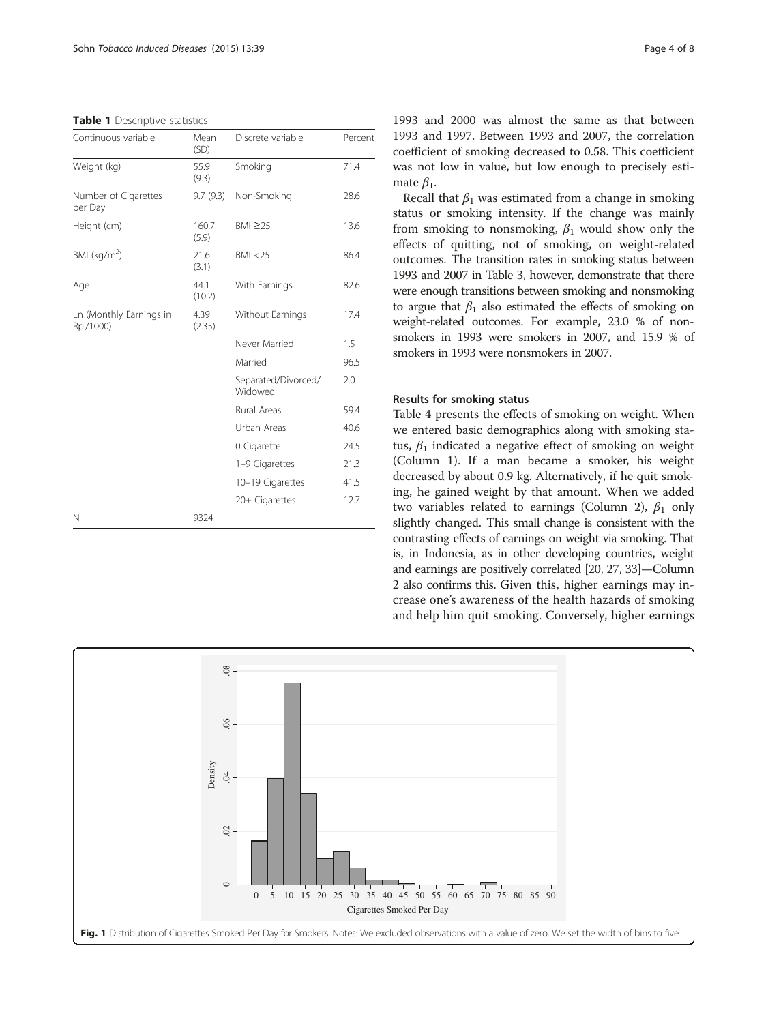<span id="page-3-0"></span>Table 1 Descriptive statistics

| Continuous variable                  | Mean<br>(SD)   | Discrete variable              | Percent |
|--------------------------------------|----------------|--------------------------------|---------|
| Weight (kg)                          | 55.9<br>(9.3)  | Smoking                        | 71.4    |
| Number of Cigarettes<br>per Day      | 9.7(9.3)       | Non-Smoking                    | 28.6    |
| Height (cm)                          | 160.7<br>(5.9) | BMI ≥25                        | 13.6    |
| BMI ( $kg/m2$ )                      | 21.6<br>(3.1)  | BMI < 25                       | 86.4    |
| Age                                  | 44.1<br>(10.2) | With Earnings                  | 82.6    |
| Ln (Monthly Earnings in<br>Rp./1000) | 4.39<br>(2.35) | Without Earnings               | 17.4    |
|                                      |                | Never Married                  | 1.5     |
|                                      |                | Married                        | 96.5    |
|                                      |                | Separated/Divorced/<br>Widowed | 2.0     |
|                                      |                | Rural Areas                    | 59.4    |
|                                      |                | Urban Areas                    | 40.6    |
|                                      |                | 0 Cigarette                    | 24.5    |
|                                      |                | 1-9 Cigarettes                 | 21.3    |
|                                      |                | 10-19 Cigarettes               | 41.5    |
|                                      |                | 20+ Cigarettes                 | 12.7    |
| N                                    | 9324           |                                |         |

1993 and 2000 was almost the same as that between 1993 and 1997. Between 1993 and 2007, the correlation coefficient of smoking decreased to 0.58. This coefficient was not low in value, but low enough to precisely estimate  $\beta_1$ .

Recall that  $\beta_1$  was estimated from a change in smoking status or smoking intensity. If the change was mainly from smoking to nonsmoking,  $\beta_1$  would show only the effects of quitting, not of smoking, on weight-related outcomes. The transition rates in smoking status between 1993 and 2007 in Table [3,](#page-4-0) however, demonstrate that there were enough transitions between smoking and nonsmoking to argue that  $\beta_1$  also estimated the effects of smoking on weight-related outcomes. For example, 23.0 % of nonsmokers in 1993 were smokers in 2007, and 15.9 % of smokers in 1993 were nonsmokers in 2007.

### Results for smoking status

Table [4](#page-5-0) presents the effects of smoking on weight. When we entered basic demographics along with smoking status,  $β_1$  indicated a negative effect of smoking on weight (Column 1). If a man became a smoker, his weight decreased by about 0.9 kg. Alternatively, if he quit smoking, he gained weight by that amount. When we added two variables related to earnings (Column 2),  $\beta_1$  only slightly changed. This small change is consistent with the contrasting effects of earnings on weight via smoking. That is, in Indonesia, as in other developing countries, weight and earnings are positively correlated [[20, 27](#page-7-0), [33](#page-7-0)]—Column 2 also confirms this. Given this, higher earnings may increase one's awareness of the health hazards of smoking and help him quit smoking. Conversely, higher earnings

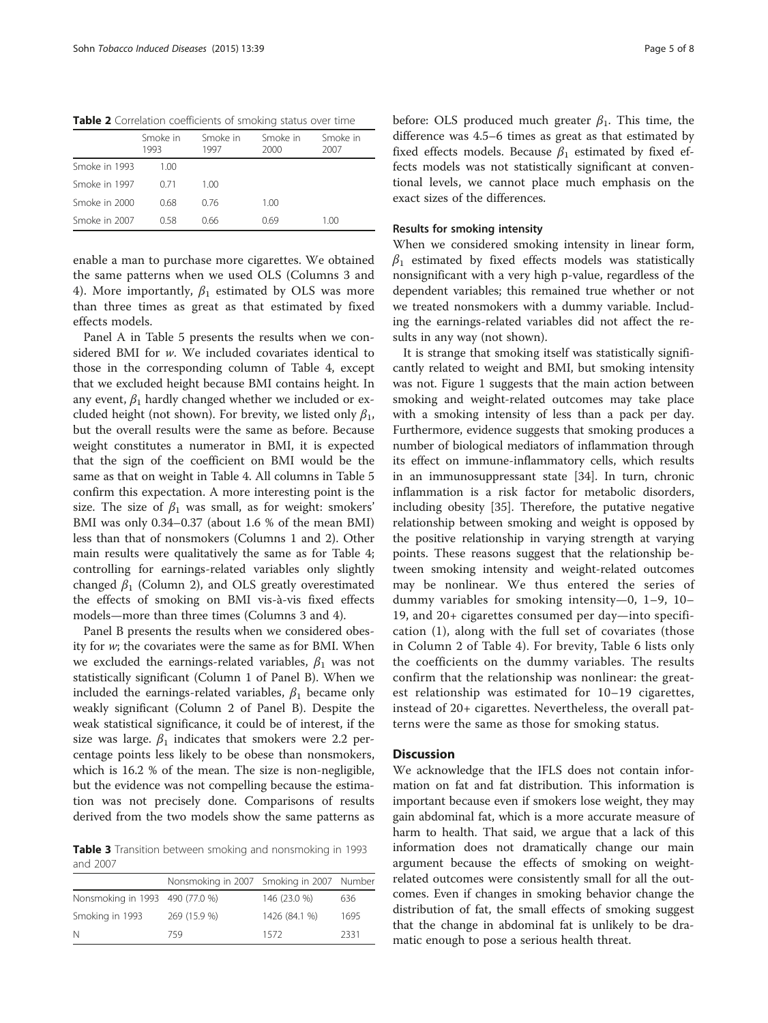<span id="page-4-0"></span>Table 2 Correlation coefficients of smoking status over time

|               | Smoke in<br>1993 | Smoke in<br>1997 | Smoke in<br>2000 | Smoke in<br>2007 |
|---------------|------------------|------------------|------------------|------------------|
| Smoke in 1993 | 1.00             |                  |                  |                  |
| Smoke in 1997 | 0.71             | 1.00             |                  |                  |
| Smoke in 2000 | 0.68             | 0.76             | 1.00             |                  |
| Smoke in 2007 | 058              | 0.66             | 0.69             | 1.00             |

enable a man to purchase more cigarettes. We obtained the same patterns when we used OLS (Columns 3 and 4). More importantly,  $\beta_1$  estimated by OLS was more than three times as great as that estimated by fixed effects models.

Panel A in Table [5](#page-5-0) presents the results when we considered BMI for w. We included covariates identical to those in the corresponding column of Table [4](#page-5-0), except that we excluded height because BMI contains height. In any event,  $\beta_1$  hardly changed whether we included or excluded height (not shown). For brevity, we listed only  $\beta_1$ , but the overall results were the same as before. Because weight constitutes a numerator in BMI, it is expected that the sign of the coefficient on BMI would be the same as that on weight in Table [4](#page-5-0). All columns in Table [5](#page-5-0) confirm this expectation. A more interesting point is the size. The size of  $\beta_1$  was small, as for weight: smokers' BMI was only 0.34–0.37 (about 1.6 % of the mean BMI) less than that of nonsmokers (Columns 1 and 2). Other main results were qualitatively the same as for Table [4](#page-5-0); controlling for earnings-related variables only slightly changed  $\beta_1$  (Column 2), and OLS greatly overestimated the effects of smoking on BMI vis-à-vis fixed effects models—more than three times (Columns 3 and 4).

Panel B presents the results when we considered obesity for w; the covariates were the same as for BMI. When we excluded the earnings-related variables,  $\beta_1$  was not statistically significant (Column 1 of Panel B). When we included the earnings-related variables,  $\beta_1$  became only weakly significant (Column 2 of Panel B). Despite the weak statistical significance, it could be of interest, if the size was large.  $\beta_1$  indicates that smokers were 2.2 percentage points less likely to be obese than nonsmokers, which is 16.2 % of the mean. The size is non-negligible, but the evidence was not compelling because the estimation was not precisely done. Comparisons of results derived from the two models show the same patterns as

Table 3 Transition between smoking and nonsmoking in 1993 and 2007

|                                 | Nonsmoking in 2007 Smoking in 2007 Number |               |      |
|---------------------------------|-------------------------------------------|---------------|------|
| Nonsmoking in 1993 490 (77.0 %) |                                           | 146 (23.0 %)  | 636  |
| Smoking in 1993                 | 269 (15.9 %)                              | 1426 (84.1 %) | 1695 |
| N                               | 759                                       | 1572          | 2331 |

before: OLS produced much greater  $\beta_1$ . This time, the difference was 4.5–6 times as great as that estimated by fixed effects models. Because  $\beta_1$  estimated by fixed effects models was not statistically significant at conventional levels, we cannot place much emphasis on the exact sizes of the differences.

#### Results for smoking intensity

When we considered smoking intensity in linear form,  $\beta_1$  estimated by fixed effects models was statistically nonsignificant with a very high p-value, regardless of the dependent variables; this remained true whether or not we treated nonsmokers with a dummy variable. Including the earnings-related variables did not affect the results in any way (not shown).

It is strange that smoking itself was statistically significantly related to weight and BMI, but smoking intensity was not. Figure [1](#page-3-0) suggests that the main action between smoking and weight-related outcomes may take place with a smoking intensity of less than a pack per day. Furthermore, evidence suggests that smoking produces a number of biological mediators of inflammation through its effect on immune-inflammatory cells, which results in an immunosuppressant state [\[34](#page-7-0)]. In turn, chronic inflammation is a risk factor for metabolic disorders, including obesity [[35\]](#page-7-0). Therefore, the putative negative relationship between smoking and weight is opposed by the positive relationship in varying strength at varying points. These reasons suggest that the relationship between smoking intensity and weight-related outcomes may be nonlinear. We thus entered the series of dummy variables for smoking intensity—0, 1–9, 10– 19, and 20+ cigarettes consumed per day—into specification (1), along with the full set of covariates (those in Column 2 of Table [4](#page-5-0)). For brevity, Table [6](#page-6-0) lists only the coefficients on the dummy variables. The results confirm that the relationship was nonlinear: the greatest relationship was estimated for 10–19 cigarettes, instead of 20+ cigarettes. Nevertheless, the overall patterns were the same as those for smoking status.

## **Discussion**

We acknowledge that the IFLS does not contain information on fat and fat distribution. This information is important because even if smokers lose weight, they may gain abdominal fat, which is a more accurate measure of harm to health. That said, we argue that a lack of this information does not dramatically change our main argument because the effects of smoking on weightrelated outcomes were consistently small for all the outcomes. Even if changes in smoking behavior change the distribution of fat, the small effects of smoking suggest that the change in abdominal fat is unlikely to be dramatic enough to pose a serious health threat.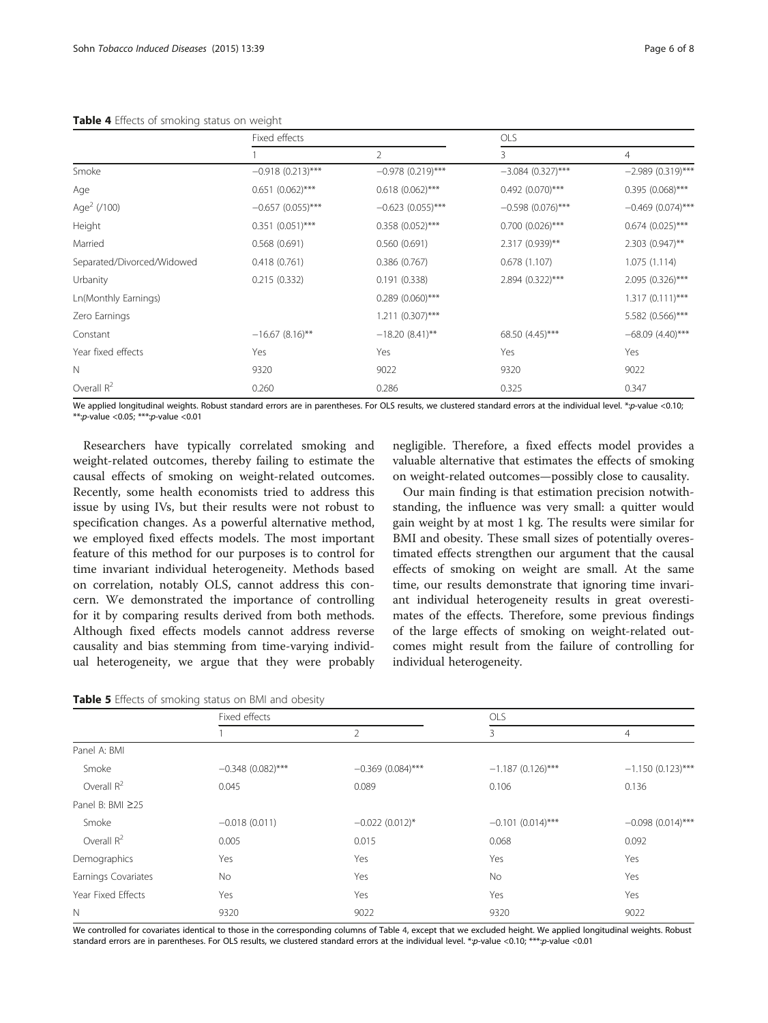#### <span id="page-5-0"></span>Table 4 Effects of smoking status on weight

|                            | Fixed effects       |                     | OLS                 |                     |
|----------------------------|---------------------|---------------------|---------------------|---------------------|
|                            |                     | $\overline{2}$      | 3                   | $\overline{4}$      |
| Smoke                      | $-0.918(0.213)$ *** | $-0.978$ (0.219)*** | $-3.084(0.327)$ *** | $-2.989(0.319)$ *** |
| Age                        | $0.651(0.062)$ ***  | $0.618(0.062)$ ***  | $0.492 (0.070)$ *** | $0.395(0.068)$ ***  |
| Age <sup>2</sup> (/100)    | $-0.657$ (0.055)*** | $-0.623(0.055)$ *** | $-0.598(0.076)$ *** | $-0.469(0.074)$ *** |
| Height                     | $0.351(0.051)$ ***  | $0.358(0.052)$ ***  | $0.700(0.026)$ ***  | $0.674$ (0.025)***  |
| Married                    | 0.568(0.691)        | 0.560(0.691)        | 2.317 (0.939)**     | $2.303$ (0.947)**   |
| Separated/Divorced/Widowed | 0.418(0.761)        | 0.386(0.767)        | 0.678(1.107)        | 1.075(1.114)        |
| Urbanity                   | 0.215(0.332)        | 0.191(0.338)        | 2.894 (0.322)***    | $2.095$ (0.326)***  |
| Ln(Monthly Earnings)       |                     | $0.289(0.060)$ ***  |                     | $1.317(0.111)$ ***  |
| Zero Earnings              |                     | $1.211 (0.307)$ *** |                     | 5.582 (0.566)***    |
| Constant                   | $-16.67(8.16)$ **   | $-18.20(8.41)$ **   | 68.50 (4.45)***     | $-68.09(4.40)$ ***  |
| Year fixed effects         | Yes                 | Yes                 | Yes                 | Yes                 |
| N                          | 9320                | 9022                | 9320                | 9022                |
| Overall $R^2$              | 0.260               | 0.286               | 0.325               | 0.347               |

We applied longitudinal weights. Robust standard errors are in parentheses. For OLS results, we clustered standard errors at the individual level. \*:p-value <0.10; \*\*:p-value <0.05; \*\*\*:p-value <0.01

Researchers have typically correlated smoking and weight-related outcomes, thereby failing to estimate the causal effects of smoking on weight-related outcomes. Recently, some health economists tried to address this issue by using IVs, but their results were not robust to specification changes. As a powerful alternative method, we employed fixed effects models. The most important feature of this method for our purposes is to control for time invariant individual heterogeneity. Methods based on correlation, notably OLS, cannot address this concern. We demonstrated the importance of controlling for it by comparing results derived from both methods. Although fixed effects models cannot address reverse causality and bias stemming from time-varying individual heterogeneity, we argue that they were probably

negligible. Therefore, a fixed effects model provides a valuable alternative that estimates the effects of smoking on weight-related outcomes—possibly close to causality.

Our main finding is that estimation precision notwithstanding, the influence was very small: a quitter would gain weight by at most 1 kg. The results were similar for BMI and obesity. These small sizes of potentially overestimated effects strengthen our argument that the causal effects of smoking on weight are small. At the same time, our results demonstrate that ignoring time invariant individual heterogeneity results in great overestimates of the effects. Therefore, some previous findings of the large effects of smoking on weight-related outcomes might result from the failure of controlling for individual heterogeneity.

| Table 5 Effects of smoking status on BMI and obesity |  |  |  |  |  |  |
|------------------------------------------------------|--|--|--|--|--|--|
|------------------------------------------------------|--|--|--|--|--|--|

|                     | Fixed effects       |                     | OLS                 |                     |
|---------------------|---------------------|---------------------|---------------------|---------------------|
|                     |                     | $\overline{2}$      | 3                   | 4                   |
| Panel A: BMI        |                     |                     |                     |                     |
| Smoke               | $-0.348(0.082)$ *** | $-0.369(0.084)$ *** | $-1.187(0.126)$ *** | $-1.150(0.123)$ *** |
| Overall $R^2$       | 0.045               | 0.089               | 0.106               | 0.136               |
| Panel B: BMI ≥25    |                     |                     |                     |                     |
| Smoke               | $-0.018(0.011)$     | $-0.022(0.012)$ *   | $-0.101(0.014)$ *** | $-0.098(0.014)$ *** |
| Overall $R^2$       | 0.005               | 0.015               | 0.068               | 0.092               |
| Demographics        | Yes                 | Yes                 | Yes                 | Yes                 |
| Earnings Covariates | No                  | Yes                 | <b>No</b>           | Yes                 |
| Year Fixed Effects  | Yes                 | Yes                 | Yes                 | Yes                 |
| $\mathbb N$         | 9320                | 9022                | 9320                | 9022                |

We controlled for covariates identical to those in the corresponding columns of Table 4, except that we excluded height. We applied longitudinal weights. Robust standard errors are in parentheses. For OLS results, we clustered standard errors at the individual level. \*:p-value <0.10; \*\*\*:p-value <0.01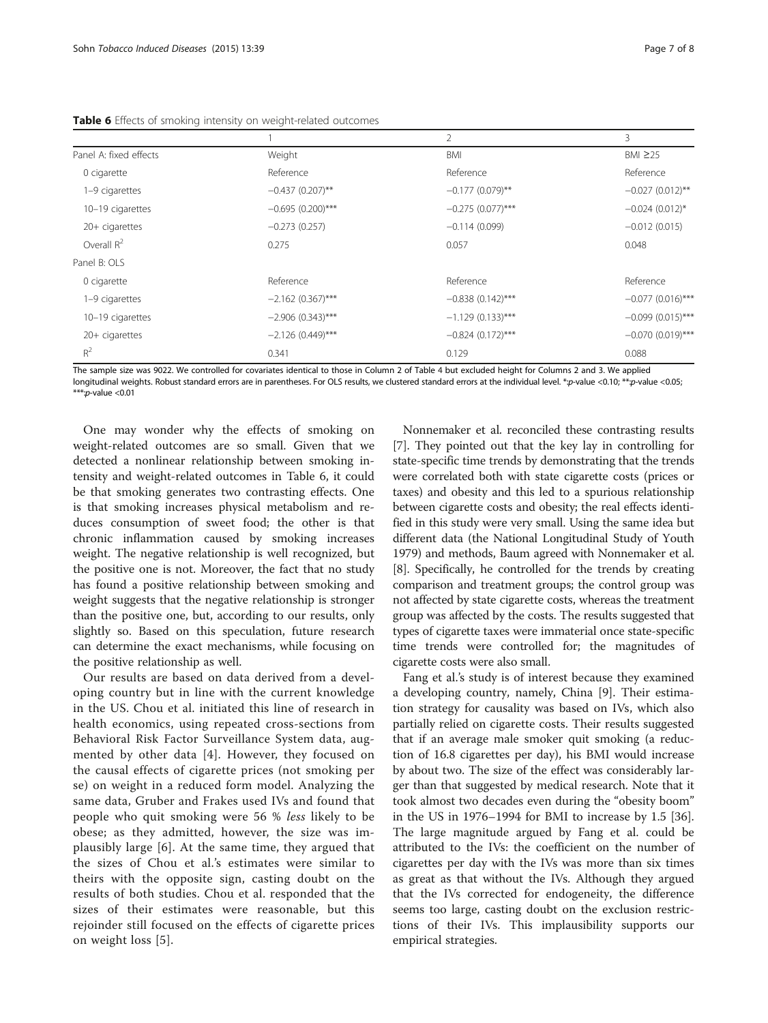|                        |                     | 2                                                                                                                                                    | 3                   |
|------------------------|---------------------|------------------------------------------------------------------------------------------------------------------------------------------------------|---------------------|
| Panel A: fixed effects | Weight              | <b>BMI</b>                                                                                                                                           | BMI $\geq$ 25       |
| 0 cigarette            | Reference           | Reference                                                                                                                                            | Reference           |
| 1-9 cigarettes         | $-0.437(0.207)$ **  | $-0.177(0.079)$ **                                                                                                                                   | $-0.027(0.012)$ **  |
| 10-19 cigarettes       | $-0.695(0.200)$ *** | $-0.275(0.077)$ ***                                                                                                                                  | $-0.024(0.012)$ *   |
| 20+ cigarettes         | $-0.273(0.257)$     | $-0.114(0.099)$                                                                                                                                      | $-0.012(0.015)$     |
| Overall $R^2$          | 0.275               | 0.057                                                                                                                                                | 0.048               |
| Panel B: OLS           |                     |                                                                                                                                                      |                     |
| 0 cigarette            | Reference           | Reference                                                                                                                                            | Reference           |
| 1-9 cigarettes         | $-2.162(0.367)$ *** | $-0.838(0.142)$ ***                                                                                                                                  | $-0.077(0.016)$ *** |
| 10-19 cigarettes       | $-2.906$ (0.343)*** | $-1.129(0.133)$ ***                                                                                                                                  | $-0.099(0.015)$ *** |
| 20+ cigarettes         | $-2.126(0.449)$ *** | $-0.824(0.172)$ ***                                                                                                                                  | $-0.070(0.019)$ *** |
| $R^2$                  | 0.341               | 0.129                                                                                                                                                | 0.088               |
|                        |                     | The sample size was 9022. We controlled for covariates identical to those in Column 2 of Table 4 but excluded beight for Columns 2 and 3. We applied |                     |

<span id="page-6-0"></span>Table 6 Effects of smoking intensity on weight-related outcomes

The sample size was 9022. We controlled for covariates identical to those in Column 2 of Table [4](#page-5-0) but excluded height for Columns 2 and 3. We applied longitudinal weights. Robust standard errors are in parentheses. For OLS results, we clustered standard errors at the individual level. \*:p-value <0.10; \*\*:p-value <0.05; \*\*\*:p-value <0.01

One may wonder why the effects of smoking on weight-related outcomes are so small. Given that we detected a nonlinear relationship between smoking intensity and weight-related outcomes in Table 6, it could be that smoking generates two contrasting effects. One is that smoking increases physical metabolism and reduces consumption of sweet food; the other is that chronic inflammation caused by smoking increases weight. The negative relationship is well recognized, but the positive one is not. Moreover, the fact that no study has found a positive relationship between smoking and weight suggests that the negative relationship is stronger than the positive one, but, according to our results, only slightly so. Based on this speculation, future research can determine the exact mechanisms, while focusing on the positive relationship as well.

Our results are based on data derived from a developing country but in line with the current knowledge in the US. Chou et al. initiated this line of research in health economics, using repeated cross-sections from Behavioral Risk Factor Surveillance System data, augmented by other data [[4\]](#page-7-0). However, they focused on the causal effects of cigarette prices (not smoking per se) on weight in a reduced form model. Analyzing the same data, Gruber and Frakes used IVs and found that people who quit smoking were 56 % less likely to be obese; as they admitted, however, the size was implausibly large [[6](#page-7-0)]. At the same time, they argued that the sizes of Chou et al.'s estimates were similar to theirs with the opposite sign, casting doubt on the results of both studies. Chou et al. responded that the sizes of their estimates were reasonable, but this rejoinder still focused on the effects of cigarette prices on weight loss [[5](#page-7-0)].

Nonnemaker et al. reconciled these contrasting results [[7\]](#page-7-0). They pointed out that the key lay in controlling for state-specific time trends by demonstrating that the trends were correlated both with state cigarette costs (prices or taxes) and obesity and this led to a spurious relationship between cigarette costs and obesity; the real effects identified in this study were very small. Using the same idea but different data (the National Longitudinal Study of Youth 1979) and methods, Baum agreed with Nonnemaker et al. [[8\]](#page-7-0). Specifically, he controlled for the trends by creating comparison and treatment groups; the control group was not affected by state cigarette costs, whereas the treatment group was affected by the costs. The results suggested that types of cigarette taxes were immaterial once state-specific time trends were controlled for; the magnitudes of cigarette costs were also small.

Fang et al.'s study is of interest because they examined a developing country, namely, China [\[9](#page-7-0)]. Their estimation strategy for causality was based on IVs, which also partially relied on cigarette costs. Their results suggested that if an average male smoker quit smoking (a reduction of 16.8 cigarettes per day), his BMI would increase by about two. The size of the effect was considerably larger than that suggested by medical research. Note that it took almost two decades even during the "obesity boom" in the US in 1976–1994 for BMI to increase by 1.5 [\[36](#page-7-0)]. The large magnitude argued by Fang et al. could be attributed to the IVs: the coefficient on the number of cigarettes per day with the IVs was more than six times as great as that without the IVs. Although they argued that the IVs corrected for endogeneity, the difference seems too large, casting doubt on the exclusion restrictions of their IVs. This implausibility supports our empirical strategies.